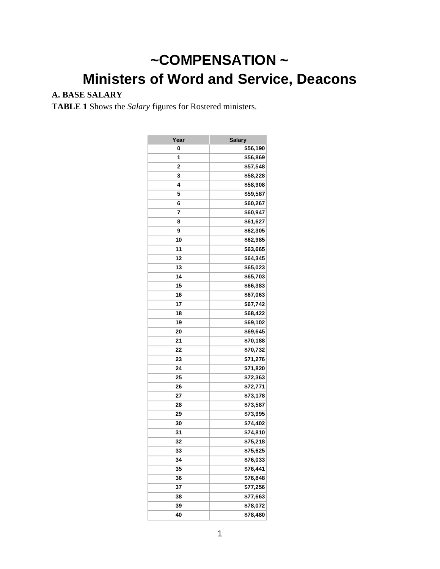# **~COMPENSATION ~ Ministers of Word and Service, Deacons**

# **A. BASE SALARY**

**TABLE 1** Shows the *Salary* figures for Rostered ministers.

| Year | <b>Salary</b> |
|------|---------------|
| 0    | \$56,190      |
| 1    | \$56,869      |
| 2    | \$57,548      |
| 3    | \$58,228      |
| 4    | \$58,908      |
| 5    | \$59,587      |
| 6    | \$60,267      |
| 7    | \$60,947      |
| 8    | \$61,627      |
| 9    | \$62,305      |
| 10   | \$62,985      |
| 11   | \$63,665      |
| 12   | \$64,345      |
| 13   | \$65,023      |
| 14   | \$65,703      |
| 15   | \$66,383      |
| 16   | \$67,063      |
| 17   | \$67,742      |
| 18   | \$68,422      |
| 19   | \$69,102      |
| 20   | \$69,645      |
| 21   | \$70,188      |
| 22   | \$70,732      |
| 23   | \$71,276      |
| 24   | \$71,820      |
| 25   | \$72,363      |
| 26   | \$72,771      |
| 27   | \$73,178      |
| 28   | \$73,587      |
| 29   | \$73,995      |
| 30   | \$74,402      |
| 31   | \$74,810      |
| 32   | \$75,218      |
| 33   | \$75,625      |
| 34   | \$76,033      |
| 35   | \$76,441      |
| 36   | \$76,848      |
| 37   | \$77,256      |
| 38   | \$77,663      |
| 39   | \$78,072      |
| 40   | \$78,480      |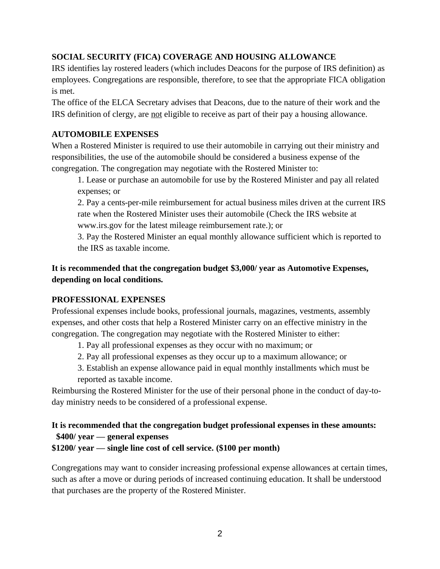#### **SOCIAL SECURITY (FICA) COVERAGE AND HOUSING ALLOWANCE**

IRS identifies lay rostered leaders (which includes Deacons for the purpose of IRS definition) as employees. Congregations are responsible, therefore, to see that the appropriate FICA obligation is met.

The office of the ELCA Secretary advises that Deacons, due to the nature of their work and the IRS definition of clergy, are not eligible to receive as part of their pay a housing allowance.

#### **AUTOMOBILE EXPENSES**

When a Rostered Minister is required to use their automobile in carrying out their ministry and responsibilities, the use of the automobile should be considered a business expense of the congregation. The congregation may negotiate with the Rostered Minister to:

1. Lease or purchase an automobile for use by the Rostered Minister and pay all related expenses; or

2. Pay a cents-per-mile reimbursement for actual business miles driven at the current IRS rate when the Rostered Minister uses their automobile (Check the IRS website at www.irs.gov for the latest mileage reimbursement rate.); or

3. Pay the Rostered Minister an equal monthly allowance sufficient which is reported to the IRS as taxable income.

## **It is recommended that the congregation budget \$3,000/ year as Automotive Expenses, depending on local conditions.**

#### **PROFESSIONAL EXPENSES**

Professional expenses include books, professional journals, magazines, vestments, assembly expenses, and other costs that help a Rostered Minister carry on an effective ministry in the congregation. The congregation may negotiate with the Rostered Minister to either:

- 1. Pay all professional expenses as they occur with no maximum; or
- 2. Pay all professional expenses as they occur up to a maximum allowance; or
- 3. Establish an expense allowance paid in equal monthly installments which must be reported as taxable income.

Reimbursing the Rostered Minister for the use of their personal phone in the conduct of day-today ministry needs to be considered of a professional expense.

## **It is recommended that the congregation budget professional expenses in these amounts: \$400/ year — general expenses**

**\$1200/ year — single line cost of cell service. (\$100 per month)**

Congregations may want to consider increasing professional expense allowances at certain times, such as after a move or during periods of increased continuing education. It shall be understood that purchases are the property of the Rostered Minister.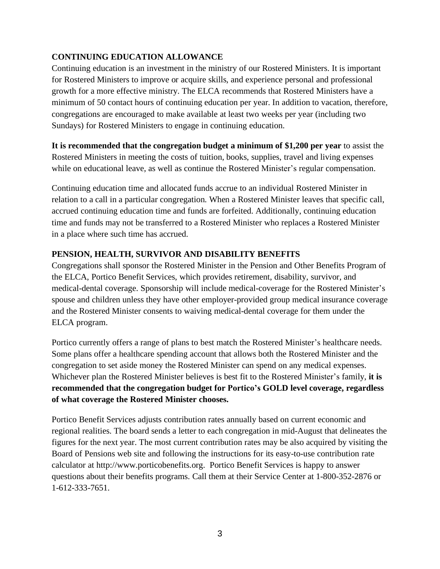#### **CONTINUING EDUCATION ALLOWANCE**

Continuing education is an investment in the ministry of our Rostered Ministers. It is important for Rostered Ministers to improve or acquire skills, and experience personal and professional growth for a more effective ministry. The ELCA recommends that Rostered Ministers have a minimum of 50 contact hours of continuing education per year. In addition to vacation, therefore, congregations are encouraged to make available at least two weeks per year (including two Sundays) for Rostered Ministers to engage in continuing education.

#### **It is recommended that the congregation budget a minimum of \$1,200 per year** to assist the

Rostered Ministers in meeting the costs of tuition, books, supplies, travel and living expenses while on educational leave, as well as continue the Rostered Minister's regular compensation.

Continuing education time and allocated funds accrue to an individual Rostered Minister in relation to a call in a particular congregation. When a Rostered Minister leaves that specific call, accrued continuing education time and funds are forfeited. Additionally, continuing education time and funds may not be transferred to a Rostered Minister who replaces a Rostered Minister in a place where such time has accrued.

#### **PENSION, HEALTH, SURVIVOR AND DISABILITY BENEFITS**

Congregations shall sponsor the Rostered Minister in the Pension and Other Benefits Program of the ELCA, Portico Benefit Services, which provides retirement, disability, survivor, and medical-dental coverage. Sponsorship will include medical-coverage for the Rostered Minister's spouse and children unless they have other employer-provided group medical insurance coverage and the Rostered Minister consents to waiving medical-dental coverage for them under the ELCA program.

Portico currently offers a range of plans to best match the Rostered Minister's healthcare needs. Some plans offer a healthcare spending account that allows both the Rostered Minister and the congregation to set aside money the Rostered Minister can spend on any medical expenses. Whichever plan the Rostered Minister believes is best fit to the Rostered Minister's family, **it is recommended that the congregation budget for Portico's GOLD level coverage, regardless of what coverage the Rostered Minister chooses.**

Portico Benefit Services adjusts contribution rates annually based on current economic and regional realities. The board sends a letter to each congregation in mid-August that delineates the figures for the next year. The most current contribution rates may be also acquired by visiting the Board of Pensions web site and following the instructions for its easy-to-use contribution rate calculator at http://www.porticobenefits.org. Portico Benefit Services is happy to answer questions about their benefits programs. Call them at their Service Center at 1-800-352-2876 or 1-612-333-7651.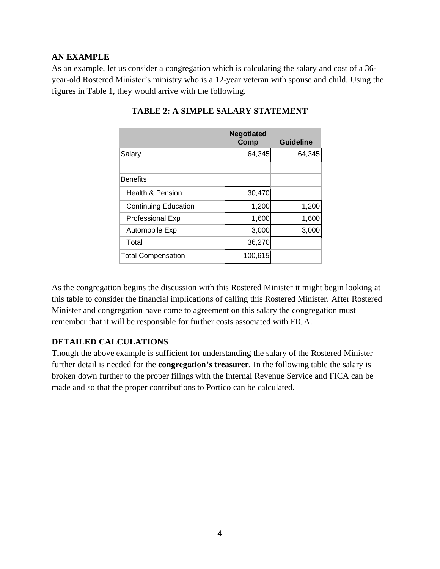#### **AN EXAMPLE**

As an example, let us consider a congregation which is calculating the salary and cost of a 36 year-old Rostered Minister's ministry who is a 12-year veteran with spouse and child. Using the figures in Table 1, they would arrive with the following.

|                             | <b>Negotiated</b><br>Comp | <b>Guideline</b> |
|-----------------------------|---------------------------|------------------|
| Salary                      | 64,345                    | 64,345           |
|                             |                           |                  |
| <b>Benefits</b>             |                           |                  |
| <b>Health &amp; Pension</b> | 30,470                    |                  |
| <b>Continuing Education</b> | 1,200                     | 1,200            |
| <b>Professional Exp</b>     | 1,600                     | 1,600            |
| Automobile Exp              | 3,000                     | 3,000            |
| Total                       | 36,270                    |                  |
| <b>Total Compensation</b>   | 100,615                   |                  |

#### **TABLE 2: A SIMPLE SALARY STATEMENT**

As the congregation begins the discussion with this Rostered Minister it might begin looking at this table to consider the financial implications of calling this Rostered Minister. After Rostered Minister and congregation have come to agreement on this salary the congregation must remember that it will be responsible for further costs associated with FICA.

#### **DETAILED CALCULATIONS**

Though the above example is sufficient for understanding the salary of the Rostered Minister further detail is needed for the **congregation's treasurer**. In the following table the salary is broken down further to the proper filings with the Internal Revenue Service and FICA can be made and so that the proper contributions to Portico can be calculated.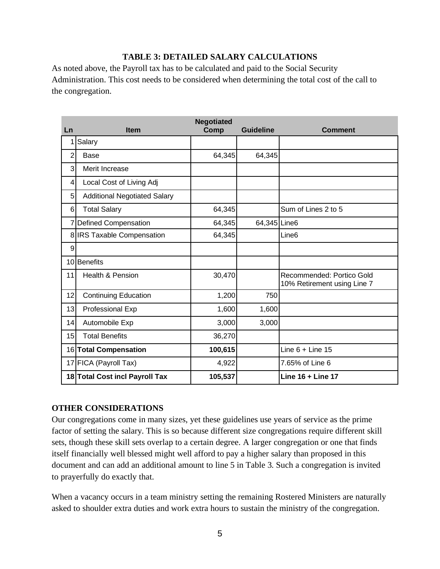#### **TABLE 3: DETAILED SALARY CALCULATIONS**

As noted above, the Payroll tax has to be calculated and paid to the Social Security Administration. This cost needs to be considered when determining the total cost of the call to the congregation.

| Ln             | <b>Item</b>                         | <b>Negotiated</b><br>Comp | <b>Guideline</b> | <b>Comment</b>                                           |
|----------------|-------------------------------------|---------------------------|------------------|----------------------------------------------------------|
|                | Salary                              |                           |                  |                                                          |
| $\overline{2}$ | Base                                | 64,345                    | 64,345           |                                                          |
| 3              | Merit Increase                      |                           |                  |                                                          |
| 4              | Local Cost of Living Adj            |                           |                  |                                                          |
| 5              | <b>Additional Negotiated Salary</b> |                           |                  |                                                          |
| 6              | <b>Total Salary</b>                 | 64,345                    |                  | Sum of Lines 2 to 5                                      |
| 7              | Defined Compensation                | 64,345                    | 64,345 Line6     |                                                          |
|                | 8 IRS Taxable Compensation          | 64,345                    |                  | Line <sub>6</sub>                                        |
| 9              |                                     |                           |                  |                                                          |
| 10             | <b>Benefits</b>                     |                           |                  |                                                          |
| 11             | <b>Health &amp; Pension</b>         | 30,470                    |                  | Recommended: Portico Gold<br>10% Retirement using Line 7 |
| 12             | <b>Continuing Education</b>         | 1,200                     | 750              |                                                          |
| 13             | Professional Exp                    | 1,600                     | 1,600            |                                                          |
| 14             | Automobile Exp                      | 3,000                     | 3,000            |                                                          |
| 15             | <b>Total Benefits</b>               | 36,270                    |                  |                                                          |
|                | 16 Total Compensation               | 100,615                   |                  | Line $6 +$ Line 15                                       |
|                | 17 FICA (Payroll Tax)               | 4,922                     |                  | 7.65% of Line 6                                          |
|                | 18 Total Cost incl Payroll Tax      | 105,537                   |                  | Line 16 + Line 17                                        |

#### **OTHER CONSIDERATIONS**

Our congregations come in many sizes, yet these guidelines use years of service as the prime factor of setting the salary. This is so because different size congregations require different skill sets, though these skill sets overlap to a certain degree. A larger congregation or one that finds itself financially well blessed might well afford to pay a higher salary than proposed in this document and can add an additional amount to line 5 in Table 3. Such a congregation is invited to prayerfully do exactly that.

When a vacancy occurs in a team ministry setting the remaining Rostered Ministers are naturally asked to shoulder extra duties and work extra hours to sustain the ministry of the congregation.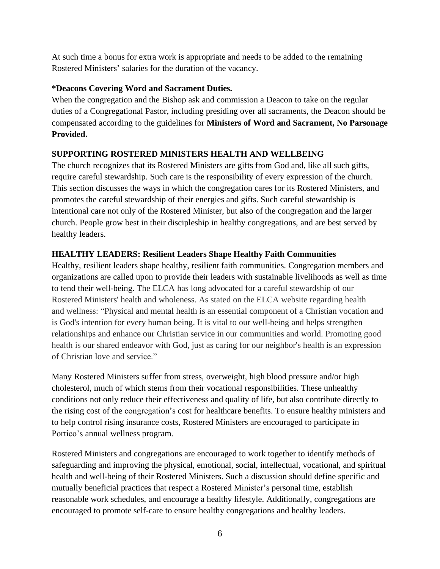At such time a bonus for extra work is appropriate and needs to be added to the remaining Rostered Ministers' salaries for the duration of the vacancy.

#### **\*Deacons Covering Word and Sacrament Duties.**

When the congregation and the Bishop ask and commission a Deacon to take on the regular duties of a Congregational Pastor, including presiding over all sacraments, the Deacon should be compensated according to the guidelines for **Ministers of Word and Sacrament, No Parsonage Provided.**

## **SUPPORTING ROSTERED MINISTERS HEALTH AND WELLBEING**

The church recognizes that its Rostered Ministers are gifts from God and, like all such gifts, require careful stewardship. Such care is the responsibility of every expression of the church. This section discusses the ways in which the congregation cares for its Rostered Ministers, and promotes the careful stewardship of their energies and gifts. Such careful stewardship is intentional care not only of the Rostered Minister, but also of the congregation and the larger church. People grow best in their discipleship in healthy congregations, and are best served by healthy leaders.

#### **HEALTHY LEADERS: Resilient Leaders Shape Healthy Faith Communities**

Healthy, resilient leaders shape healthy, resilient faith communities. Congregation members and organizations are called upon to provide their leaders with sustainable livelihoods as well as time to tend their well-being. The ELCA has long advocated for a careful stewardship of our Rostered Ministers' health and wholeness. As stated on the ELCA website regarding health and wellness: "Physical and mental health is an essential component of a Christian vocation and is God's intention for every human being. It is vital to our well-being and helps strengthen relationships and enhance our Christian service in our communities and world. Promoting good health is our shared endeavor with God, just as caring for our neighbor's health is an expression of Christian love and service."

Many Rostered Ministers suffer from stress, overweight, high blood pressure and/or high cholesterol, much of which stems from their vocational responsibilities. These unhealthy conditions not only reduce their effectiveness and quality of life, but also contribute directly to the rising cost of the congregation's cost for healthcare benefits. To ensure healthy ministers and to help control rising insurance costs, Rostered Ministers are encouraged to participate in Portico's annual wellness program.

Rostered Ministers and congregations are encouraged to work together to identify methods of safeguarding and improving the physical, emotional, social, intellectual, vocational, and spiritual health and well-being of their Rostered Ministers. Such a discussion should define specific and mutually beneficial practices that respect a Rostered Minister's personal time, establish reasonable work schedules, and encourage a healthy lifestyle. Additionally, congregations are encouraged to promote self-care to ensure healthy congregations and healthy leaders.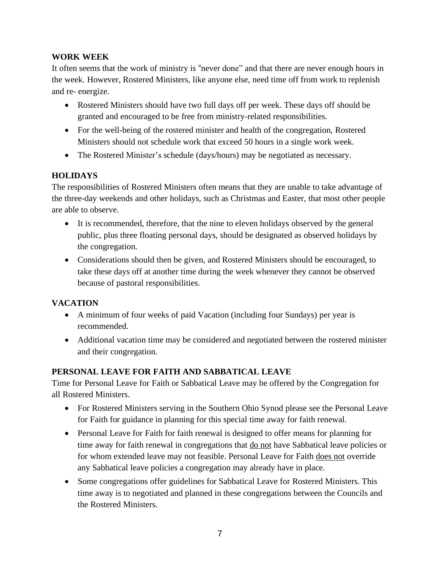#### **WORK WEEK**

It often seems that the work of ministry is "never done" and that there are never enough hours in the week. However, Rostered Ministers, like anyone else, need time off from work to replenish and re- energize.

- Rostered Ministers should have two full days off per week. These days off should be granted and encouraged to be free from ministry-related responsibilities.
- For the well-being of the rostered minister and health of the congregation, Rostered Ministers should not schedule work that exceed 50 hours in a single work week.
- The Rostered Minister's schedule (days/hours) may be negotiated as necessary.

## **HOLIDAYS**

The responsibilities of Rostered Ministers often means that they are unable to take advantage of the three-day weekends and other holidays, such as Christmas and Easter, that most other people are able to observe.

- It is recommended, therefore, that the nine to eleven holidays observed by the general public, plus three floating personal days, should be designated as observed holidays by the congregation.
- Considerations should then be given, and Rostered Ministers should be encouraged, to take these days off at another time during the week whenever they cannot be observed because of pastoral responsibilities.

## **VACATION**

- A minimum of four weeks of paid Vacation (including four Sundays) per year is recommended.
- Additional vacation time may be considered and negotiated between the rostered minister and their congregation.

## **PERSONAL LEAVE FOR FAITH AND SABBATICAL LEAVE**

Time for Personal Leave for Faith or Sabbatical Leave may be offered by the Congregation for all Rostered Ministers.

- For Rostered Ministers serving in the Southern Ohio Synod please see the Personal Leave for Faith for guidance in planning for this special time away for faith renewal.
- Personal Leave for Faith for faith renewal is designed to offer means for planning for time away for faith renewal in congregations that <u>do not</u> have Sabbatical leave policies or for whom extended leave may not feasible. Personal Leave for Faith does not override any Sabbatical leave policies a congregation may already have in place.
- Some congregations offer guidelines for Sabbatical Leave for Rostered Ministers. This time away is to negotiated and planned in these congregations between the Councils and the Rostered Ministers.